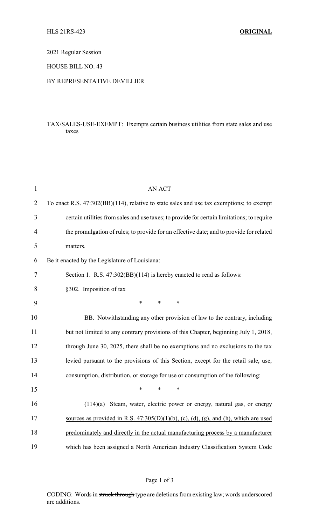### 2021 Regular Session

#### HOUSE BILL NO. 43

#### BY REPRESENTATIVE DEVILLIER

## TAX/SALES-USE-EXEMPT: Exempts certain business utilities from state sales and use taxes

| $\mathbf{1}$   | <b>AN ACT</b>                                                                              |
|----------------|--------------------------------------------------------------------------------------------|
| $\overline{2}$ | To enact R.S. 47:302(BB)(114), relative to state sales and use tax exemptions; to exempt   |
| 3              | certain utilities from sales and use taxes; to provide for certain limitations; to require |
| 4              | the promulgation of rules; to provide for an effective date; and to provide for related    |
| 5              | matters.                                                                                   |
| 6              | Be it enacted by the Legislature of Louisiana:                                             |
| 7              | Section 1. R.S. 47:302(BB)(114) is hereby enacted to read as follows:                      |
| 8              | §302. Imposition of tax                                                                    |
| 9              | $\ast$<br>$\ast$<br>$\ast$                                                                 |
| 10             | BB. Notwithstanding any other provision of law to the contrary, including                  |
| 11             | but not limited to any contrary provisions of this Chapter, beginning July 1, 2018,        |
| 12             | through June 30, 2025, there shall be no exemptions and no exclusions to the tax           |
| 13             | levied pursuant to the provisions of this Section, except for the retail sale, use,        |
| 14             | consumption, distribution, or storage for use or consumption of the following:             |
| 15             | $\ast$<br>*<br>*                                                                           |
| 16             | (114)(a) Steam, water, electric power or energy, natural gas, or energy                    |
| 17             | sources as provided in R.S. $47:305(D)(1)(b)$ , (c), (d), (g), and (h), which are used     |
| 18             | predominately and directly in the actual manufacturing process by a manufacturer           |
| 19             | which has been assigned a North American Industry Classification System Code               |

# Page 1 of 3

CODING: Words in struck through type are deletions from existing law; words underscored are additions.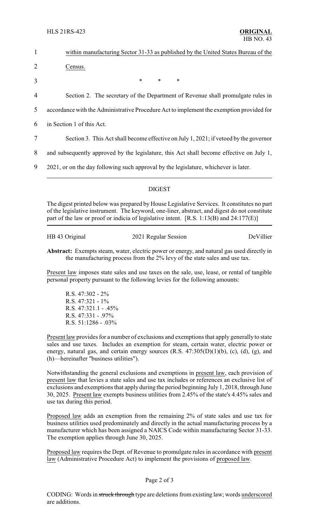HLS 21RS-423 **ORIGINAL**

| $\mathbf{1}$   | within manufacturing Sector 31-33 as published by the United States Bureau of the        |
|----------------|------------------------------------------------------------------------------------------|
| $\overline{2}$ | Census.                                                                                  |
| 3              | $*$<br>$*$<br>$\ast$                                                                     |
| $\overline{4}$ | Section 2. The secretary of the Department of Revenue shall promulgate rules in          |
| 5              | accordance with the Administrative Procedure Act to implement the exemption provided for |
| 6              | in Section 1 of this Act.                                                                |
| 7              | Section 3. This Act shall become effective on July 1, 2021; if vetoed by the governor    |
| 8              | and subsequently approved by the legislature, this Act shall become effective on July 1, |
| 9              | 2021, or on the day following such approval by the legislature, whichever is later.      |
|                |                                                                                          |

## DIGEST

The digest printed below was prepared by House Legislative Services. It constitutes no part of the legislative instrument. The keyword, one-liner, abstract, and digest do not constitute part of the law or proof or indicia of legislative intent.  $[R.S. 1:13(B)$  and  $24:177(E)]$ 

HB 43 Original 2021 Regular Session DeVillier

**Abstract:** Exempts steam, water, electric power or energy, and natural gas used directly in the manufacturing process from the 2% levy of the state sales and use tax.

Present law imposes state sales and use taxes on the sale, use, lease, or rental of tangible personal property pursuant to the following levies for the following amounts:

R.S. 47:302 - 2% R.S. 47:321 - 1% R.S. 47:321.1 - .45% R.S. 47:331 - .97% R.S. 51:1286 - .03%

Present law provides for a number of exclusions and exemptions that apply generallyto state sales and use taxes. Includes an exemption for steam, certain water, electric power or energy, natural gas, and certain energy sources (R.S. 47:305(D)(1)(b), (c), (d), (g), and (h)—hereinafter "business utilities").

Notwithstanding the general exclusions and exemptions in present law, each provision of present law that levies a state sales and use tax includes or references an exclusive list of exclusions and exemptions that apply during the period beginning July 1, 2018, through June 30, 2025. Present law exempts business utilities from 2.45% of the state's 4.45% sales and use tax during this period.

Proposed law adds an exemption from the remaining 2% of state sales and use tax for business utilities used predominately and directly in the actual manufacturing process by a manufacturer which has been assigned a NAICS Code within manufacturing Sector 31-33. The exemption applies through June 30, 2025.

Proposed law requires the Dept. of Revenue to promulgate rules in accordance with present law (Administrative Procedure Act) to implement the provisions of proposed law.